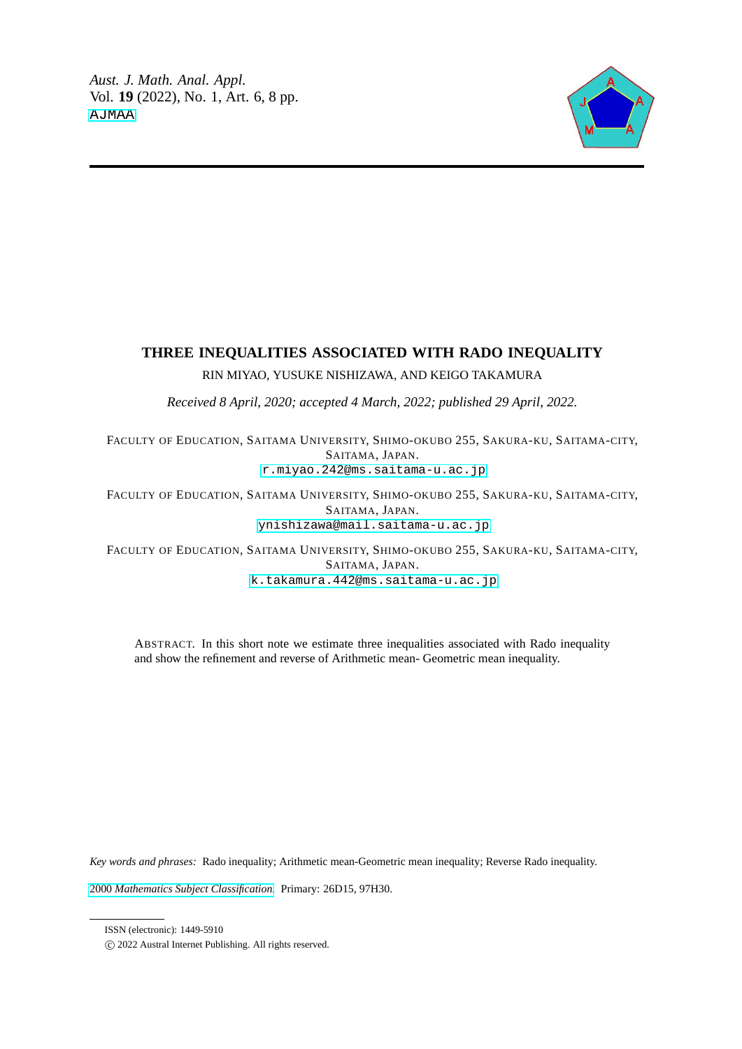

# **THREE INEQUALITIES ASSOCIATED WITH RADO INEQUALITY**

RIN MIYAO, YUSUKE NISHIZAWA, AND KEIGO TAKAMURA

*Received 8 April, 2020; accepted 4 March, 2022; published 29 April, 2022.*

FACULTY OF EDUCATION, SAITAMA UNIVERSITY, SHIMO-OKUBO 255, SAKURA-KU, SAITAMA-CITY, SAITAMA, JAPAN.

[r.miyao.242@ms.saitama-u.ac.jp](mailto:<r.miyao.242@ms.saitama-u.ac.jp>)

FACULTY OF EDUCATION, SAITAMA UNIVERSITY, SHIMO-OKUBO 255, SAKURA-KU, SAITAMA-CITY, SAITAMA, JAPAN. [ynishizawa@mail.saitama-u.ac.jp](mailto:<ynishizawa@mail.saitama-u.ac.jp)

FACULTY OF EDUCATION, SAITAMA UNIVERSITY, SHIMO-OKUBO 255, SAKURA-KU, SAITAMA-CITY, SAITAMA, JAPAN. [k.takamura.442@ms.saitama-u.ac.jp](mailto:<k.takamura.442@ms.saitama-u.ac.jp)

ABSTRACT. In this short note we estimate three inequalities associated with Rado inequality and show the refinement and reverse of Arithmetic mean- Geometric mean inequality.

*Key words and phrases:* Rado inequality; Arithmetic mean-Geometric mean inequality; Reverse Rado inequality.

2000 *[Mathematics Subject Classification.](https://www.ams.org/msc/)* Primary: 26D15, 97H30.

ISSN (electronic): 1449-5910

c 2022 Austral Internet Publishing. All rights reserved.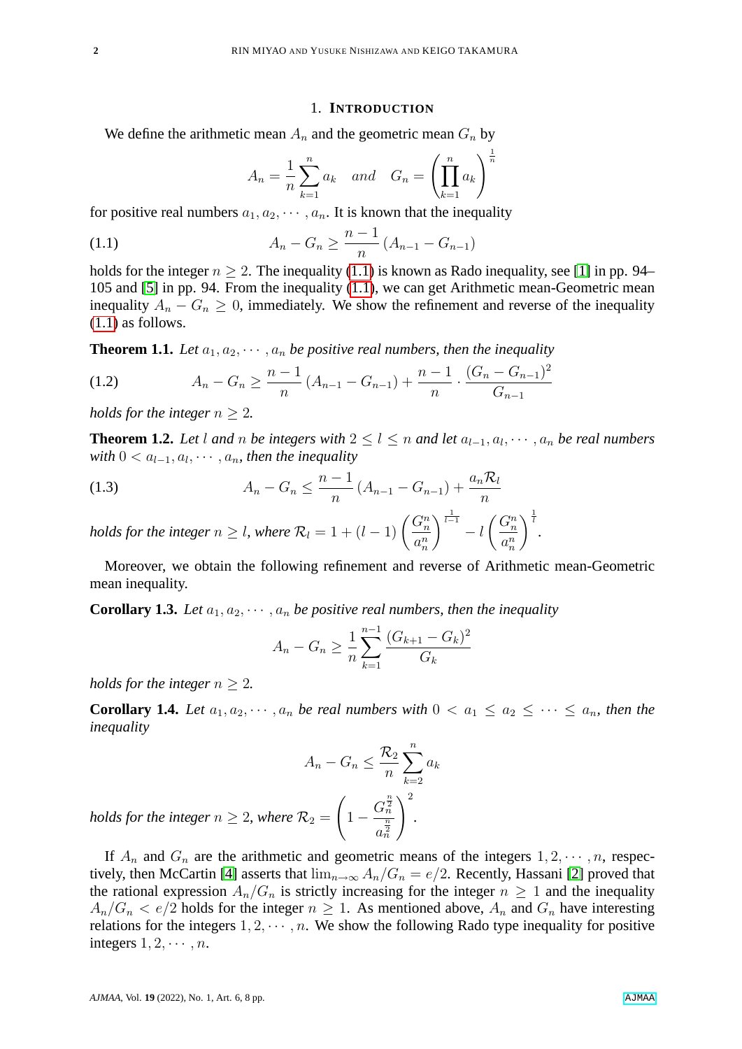#### 1. **INTRODUCTION**

We define the arithmetic mean  $A_n$  and the geometric mean  $G_n$  by

$$
A_n = \frac{1}{n} \sum_{k=1}^n a_k \quad and \quad G_n = \left(\prod_{k=1}^n a_k\right)^{\frac{1}{n}}
$$

for positive real numbers  $a_1, a_2, \cdots, a_n$ . It is known that the inequality

<span id="page-1-0"></span>(1.1) 
$$
A_n - G_n \ge \frac{n-1}{n} (A_{n-1} - G_{n-1})
$$

holds for the integer  $n > 2$ . The inequality [\(1.1\)](#page-1-0) is known as Rado inequality, see [\[1\]](#page-7-0) in pp. 94– 105 and [\[5\]](#page-7-1) in pp. 94. From the inequality [\(1.1\)](#page-1-0), we can get Arithmetic mean-Geometric mean inequality  $A_n - G_n \geq 0$ , immediately. We show the refinement and reverse of the inequality [\(1.1\)](#page-1-0) as follows.

<span id="page-1-1"></span>**Theorem 1.1.** Let  $a_1, a_2, \dots, a_n$  be positive real numbers, then the inequality

<span id="page-1-5"></span>
$$
(1.2) \qquad \qquad A_n - G_n \ge \frac{n-1}{n} \left( A_{n-1} - G_{n-1} \right) + \frac{n-1}{n} \cdot \frac{(G_n - G_{n-1})^2}{G_{n-1}}
$$

*holds for the integer*  $n > 2$ *.* 

<span id="page-1-2"></span>**Theorem 1.2.** Let l and n be integers with  $2 \leq l \leq n$  and let  $a_{l-1}, a_l, \dots, a_n$  be real numbers  $with 0 < a_{l-1}, a_{l}, \cdots, a_{n}$ , then the inequality

<span id="page-1-6"></span>(1.3) 
$$
A_n - G_n \le \frac{n-1}{n} (A_{n-1} - G_{n-1}) + \frac{a_n \mathcal{R}_l}{n}
$$
 holds for the integer  $n > l$ , where  $\mathcal{R}_l = 1 + (l-1) \binom{G_n^n}{l} \frac{1}{l-1} \binom{G_n^n}{l}$ 

*holds for the integer*  $n \geq l$ , where  $\mathcal{R}_l = 1 + (l - 1) \left( \frac{G_n^n}{l}\right)$  $a_n^n$  $\Big\}^{\frac{1}{l-1}} - l$  $a_n^n$  $\bigg\}^{\frac{1}{l}}$ .

Moreover, we obtain the following refinement and reverse of Arithmetic mean-Geometric mean inequality.

<span id="page-1-3"></span>**Corollary 1.3.** Let  $a_1, a_2, \dots, a_n$  be positive real numbers, then the inequality

$$
A_n - G_n \ge \frac{1}{n} \sum_{k=1}^{n-1} \frac{(G_{k+1} - G_k)^2}{G_k}
$$

*holds for the integer*  $n > 2$ *.* 

<span id="page-1-4"></span>**Corollary 1.4.** Let  $a_1, a_2, \dots, a_n$  be real numbers with  $0 < a_1 \le a_2 \le \dots \le a_n$ , then the *inequality*

$$
A_n - G_n \leq \frac{\mathcal{R}_2}{n} \sum_{k=2}^n a_k
$$

$$
\mathcal{R}_2 = \left(1 - \frac{G_n^{\frac{n}{2}}}{a_n^{\frac{n}{2}}}\right)^2.
$$

*holds for the integer*  $n > 2$ *, where* 

<span id="page-1-7"></span>If  $A_n$  and  $G_n$  are the arithmetic and geometric means of the integers  $1, 2, \dots, n$ , respec-tively, then McCartin [\[4\]](#page-7-2) asserts that  $\lim_{n\to\infty} A_n/G_n = e/2$ . Recently, Hassani [\[2\]](#page-7-3) proved that the rational expression  $A_n/G_n$  is strictly increasing for the integer  $n \geq 1$  and the inequality  $A_n/G_n < e/2$  holds for the integer  $n \geq 1$ . As mentioned above,  $A_n$  and  $G_n$  have interesting relations for the integers  $1, 2, \dots, n$ . We show the following Rado type inequality for positive integers  $1, 2, \cdots, n$ .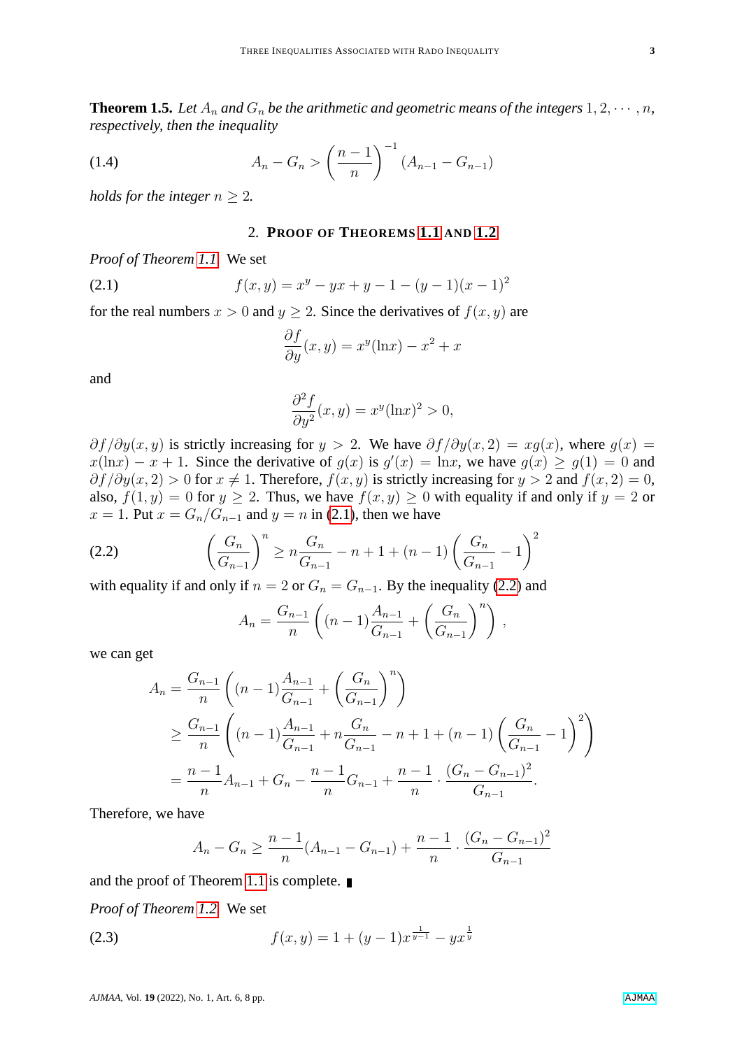**Theorem 1.5.** Let  $A_n$  and  $G_n$  be the arithmetic and geometric means of the integers  $1, 2, \dots, n$ , *respectively, then the inequality*

<span id="page-2-3"></span>(1.4) 
$$
A_n - G_n > \left(\frac{n-1}{n}\right)^{-1} (A_{n-1} - G_{n-1})
$$

*holds for the integer*  $n \geq 2$ *.* 

### 2. **PROOF OF THEOREMS [1.1](#page-1-1) AND [1.2](#page-1-2)**

*Proof of Theorem [1.1.](#page-1-1)* We set

<span id="page-2-0"></span>(2.1) 
$$
f(x,y) = x^y - yx + y - 1 - (y-1)(x-1)^2
$$

for the real numbers  $x > 0$  and  $y \ge 2$ . Since the derivatives of  $f(x, y)$  are

$$
\frac{\partial f}{\partial y}(x, y) = x^y(\ln x) - x^2 + x
$$

and

$$
\frac{\partial^2 f}{\partial y^2}(x, y) = x^y(\ln x)^2 > 0,
$$

 $\partial f/\partial y(x, y)$  is strictly increasing for  $y > 2$ . We have  $\partial f/\partial y(x, 2) = xq(x)$ , where  $q(x) =$  $x(\ln x) - x + 1$ . Since the derivative of  $g(x)$  is  $g'(x) = \ln x$ , we have  $g(x) \ge g(1) = 0$  and  $\partial f/\partial y(x, 2) > 0$  for  $x \neq 1$ . Therefore,  $f(x, y)$  is strictly increasing for  $y > 2$  and  $f(x, 2) = 0$ , also,  $f(1, y) = 0$  for  $y \ge 2$ . Thus, we have  $f(x, y) \ge 0$  with equality if and only if  $y = 2$  or  $x = 1$ . Put  $x = G_n/G_{n-1}$  and  $y = n$  in [\(2.1\)](#page-2-0), then we have

<span id="page-2-1"></span>(2.2) 
$$
\left(\frac{G_n}{G_{n-1}}\right)^n \ge n \frac{G_n}{G_{n-1}} - n + 1 + (n-1) \left(\frac{G_n}{G_{n-1}} - 1\right)^2
$$

with equality if and only if  $n = 2$  or  $G_n = G_{n-1}$ . By the inequality [\(2.2\)](#page-2-1) and

$$
A_n = \frac{G_{n-1}}{n} \left( (n-1) \frac{A_{n-1}}{G_{n-1}} + \left( \frac{G_n}{G_{n-1}} \right)^n \right) ,
$$

we can get

$$
A_n = \frac{G_{n-1}}{n} \left( (n-1) \frac{A_{n-1}}{G_{n-1}} + \left( \frac{G_n}{G_{n-1}} \right)^n \right)
$$
  
\n
$$
\geq \frac{G_{n-1}}{n} \left( (n-1) \frac{A_{n-1}}{G_{n-1}} + n \frac{G_n}{G_{n-1}} - n + 1 + (n-1) \left( \frac{G_n}{G_{n-1}} - 1 \right)^2 \right)
$$
  
\n
$$
= \frac{n-1}{n} A_{n-1} + G_n - \frac{n-1}{n} G_{n-1} + \frac{n-1}{n} \cdot \frac{(G_n - G_{n-1})^2}{G_{n-1}}.
$$

Therefore, we have

$$
A_n - G_n \ge \frac{n-1}{n}(A_{n-1} - G_{n-1}) + \frac{n-1}{n} \cdot \frac{(G_n - G_{n-1})^2}{G_{n-1}}
$$

and the proof of Theorem [1.1](#page-1-1) is complete.

*Proof of Theorem [1.2.](#page-1-2)* We set

<span id="page-2-2"></span>(2.3) 
$$
f(x,y) = 1 + (y-1)x^{\frac{1}{y-1}} - yx^{\frac{1}{y}}
$$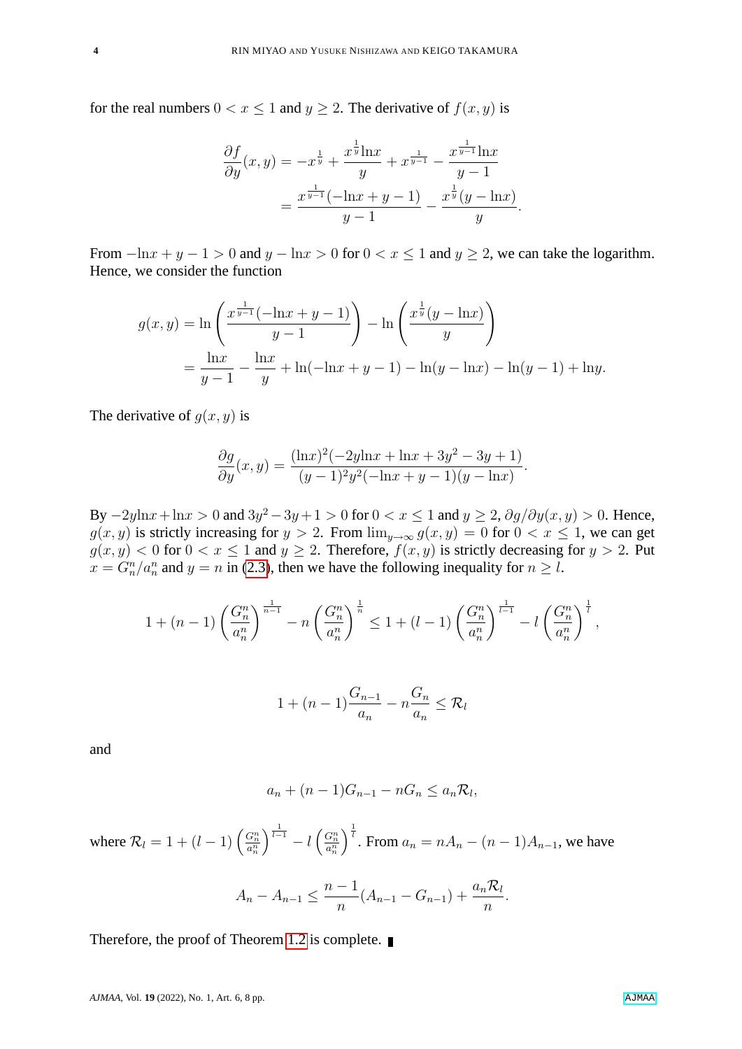for the real numbers  $0 < x \le 1$  and  $y \ge 2$ . The derivative of  $f(x, y)$  is

$$
\frac{\partial f}{\partial y}(x,y) = -x^{\frac{1}{y}} + \frac{x^{\frac{1}{y}} \ln x}{y} + x^{\frac{1}{y-1}} - \frac{x^{\frac{1}{y-1}} \ln x}{y-1} = \frac{x^{\frac{1}{y-1}} (-\ln x + y - 1)}{y-1} - \frac{x^{\frac{1}{y}} (y - \ln x)}{y}.
$$

From  $-\ln x + y - 1 > 0$  and  $y - \ln x > 0$  for  $0 < x \le 1$  and  $y \ge 2$ , we can take the logarithm. Hence, we consider the function

$$
g(x,y) = \ln\left(\frac{x^{\frac{1}{y-1}}(-\ln x + y - 1)}{y-1}\right) - \ln\left(\frac{x^{\frac{1}{y}}(y - \ln x)}{y}\right)
$$
  
= 
$$
\frac{\ln x}{y-1} - \frac{\ln x}{y} + \ln(-\ln x + y - 1) - \ln(y - \ln x) - \ln(y - 1) + \ln y.
$$

The derivative of  $g(x, y)$  is

$$
\frac{\partial g}{\partial y}(x,y) = \frac{(\ln x)^2(-2y\ln x + \ln x + 3y^2 - 3y + 1)}{(y-1)^2y^2(-\ln x + y - 1)(y - \ln x)}.
$$

By  $-2y\ln x + \ln x > 0$  and  $3y^2 - 3y + 1 > 0$  for  $0 < x \le 1$  and  $y \ge 2$ ,  $\partial g/\partial y(x, y) > 0$ . Hence,  $g(x, y)$  is strictly increasing for  $y > 2$ . From  $\lim_{y \to \infty} g(x, y) = 0$  for  $0 < x \le 1$ , we can get  $g(x, y) < 0$  for  $0 < x \le 1$  and  $y \ge 2$ . Therefore,  $f(x, y)$  is strictly decreasing for  $y > 2$ . Put  $x = G_n^n/a_n^n$  and  $y = n$  in [\(2.3\)](#page-2-2), then we have the following inequality for  $n \geq l$ .

$$
1 + (n - 1) \left(\frac{G_n^n}{a_n^n}\right)^{\frac{1}{n - 1}} - n \left(\frac{G_n^n}{a_n^n}\right)^{\frac{1}{n}} \le 1 + (l - 1) \left(\frac{G_n^n}{a_n^n}\right)^{\frac{1}{l - 1}} - l \left(\frac{G_n^n}{a_n^n}\right)^{\frac{1}{l}},
$$

$$
1 + (n-1)\frac{G_{n-1}}{a_n} - n\frac{G_n}{a_n} \le \mathcal{R}_l
$$

and

$$
a_n + (n-1)G_{n-1} - nG_n \le a_n \mathcal{R}_l,
$$

where  $\mathcal{R}_l = 1 + (l-1) \left( \frac{G_n^n}{a_n^n} \right)$  $\Big)^{\frac{1}{l-1}}-l\left(\begin{smallmatrix} G_n^n\ a_n^n\end{smallmatrix}\right)$  $\int_0^{\frac{1}{t}}$ . From  $a_n = nA_n - (n-1)A_{n-1}$ , we have

$$
A_n - A_{n-1} \le \frac{n-1}{n} (A_{n-1} - G_{n-1}) + \frac{a_n \mathcal{R}_l}{n}
$$

.

Therefore, the proof of Theorem [1.2](#page-1-2) is complete. ■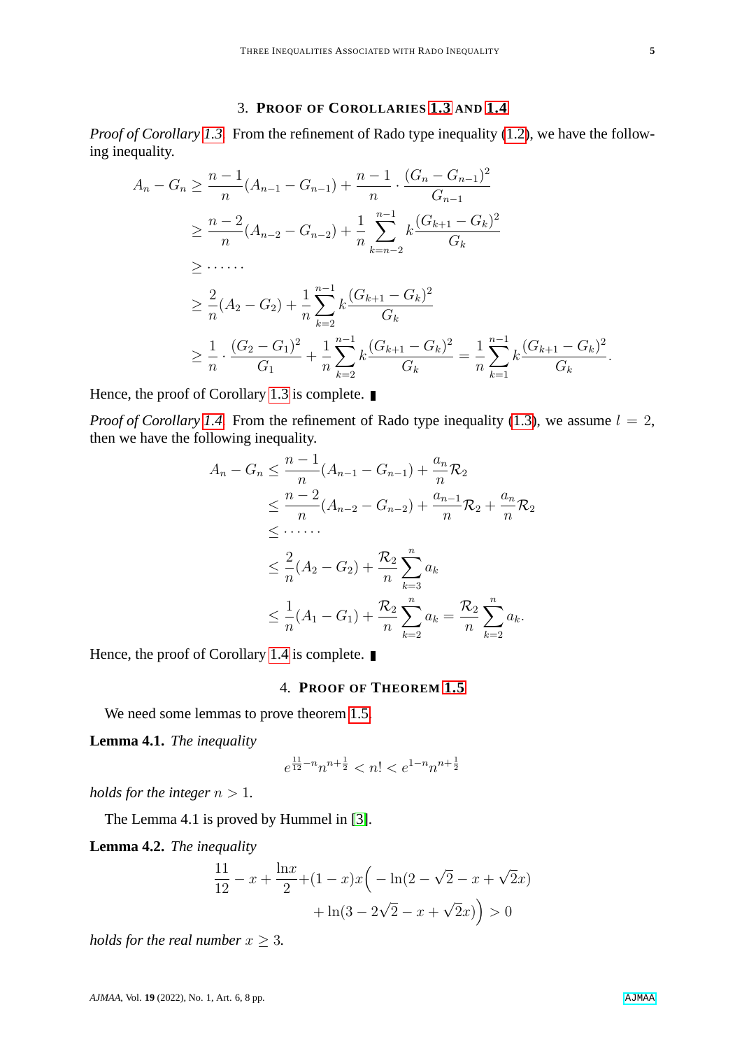# 3. **PROOF OF COROLLARIES [1.3](#page-1-3) AND [1.4](#page-1-4)**

*Proof of Corollary [1.3.](#page-1-3)* From the refinement of Rado type inequality [\(1.2\)](#page-1-5), we have the following inequality.

$$
A_n - G_n \ge \frac{n-1}{n} (A_{n-1} - G_{n-1}) + \frac{n-1}{n} \cdot \frac{(G_n - G_{n-1})^2}{G_{n-1}}
$$
  
\n
$$
\ge \frac{n-2}{n} (A_{n-2} - G_{n-2}) + \frac{1}{n} \sum_{k=n-2}^{n-1} k \frac{(G_{k+1} - G_k)^2}{G_k}
$$
  
\n
$$
\ge \dots
$$
  
\n
$$
\ge \frac{2}{n} (A_2 - G_2) + \frac{1}{n} \sum_{k=2}^{n-1} k \frac{(G_{k+1} - G_k)^2}{G_k}
$$
  
\n
$$
\ge \frac{1}{n} \cdot \frac{(G_2 - G_1)^2}{G_1} + \frac{1}{n} \sum_{k=2}^{n-1} k \frac{(G_{k+1} - G_k)^2}{G_k} = \frac{1}{n} \sum_{k=1}^{n-1} k \frac{(G_{k+1} - G_k)^2}{G_k}.
$$

Hence, the proof of Corollary [1.3](#page-1-3) is complete. ■

*Proof of Corollary [1.4.](#page-1-4)* From the refinement of Rado type inequality [\(1.3\)](#page-1-6), we assume  $l = 2$ , then we have the following inequality.

$$
A_n - G_n \leq \frac{n-1}{n} (A_{n-1} - G_{n-1}) + \frac{a_n}{n} \mathcal{R}_2
$$
  
\n
$$
\leq \frac{n-2}{n} (A_{n-2} - G_{n-2}) + \frac{a_{n-1}}{n} \mathcal{R}_2 + \frac{a_n}{n} \mathcal{R}_2
$$
  
\n
$$
\leq \dots
$$
  
\n
$$
\leq \frac{2}{n} (A_2 - G_2) + \frac{\mathcal{R}_2}{n} \sum_{k=3}^n a_k
$$
  
\n
$$
\leq \frac{1}{n} (A_1 - G_1) + \frac{\mathcal{R}_2}{n} \sum_{k=2}^n a_k = \frac{\mathcal{R}_2}{n} \sum_{k=2}^n a_k.
$$

Hence, the proof of Corollary [1.4](#page-1-4) is complete.

#### 4. **PROOF OF THEOREM [1.5](#page-1-7)**

We need some lemmas to prove theorem [1.5.](#page-1-7)

<span id="page-4-0"></span>**Lemma 4.1.** *The inequality*

$$
e^{\frac{11}{12}-n}n^{n+\frac{1}{2}}
$$

*holds for the integer*  $n > 1$ *.* 

The Lemma 4.1 is proved by Hummel in [\[3\]](#page-7-4).

<span id="page-4-1"></span>**Lemma 4.2.** *The inequality*

$$
\frac{11}{12} - x + \frac{\ln x}{2} + (1 - x)x\left(-\ln(2 - \sqrt{2} - x + \sqrt{2}x) + \ln(3 - 2\sqrt{2} - x + \sqrt{2}x)\right) > 0
$$

*holds for the real number*  $x \geq 3$ *.*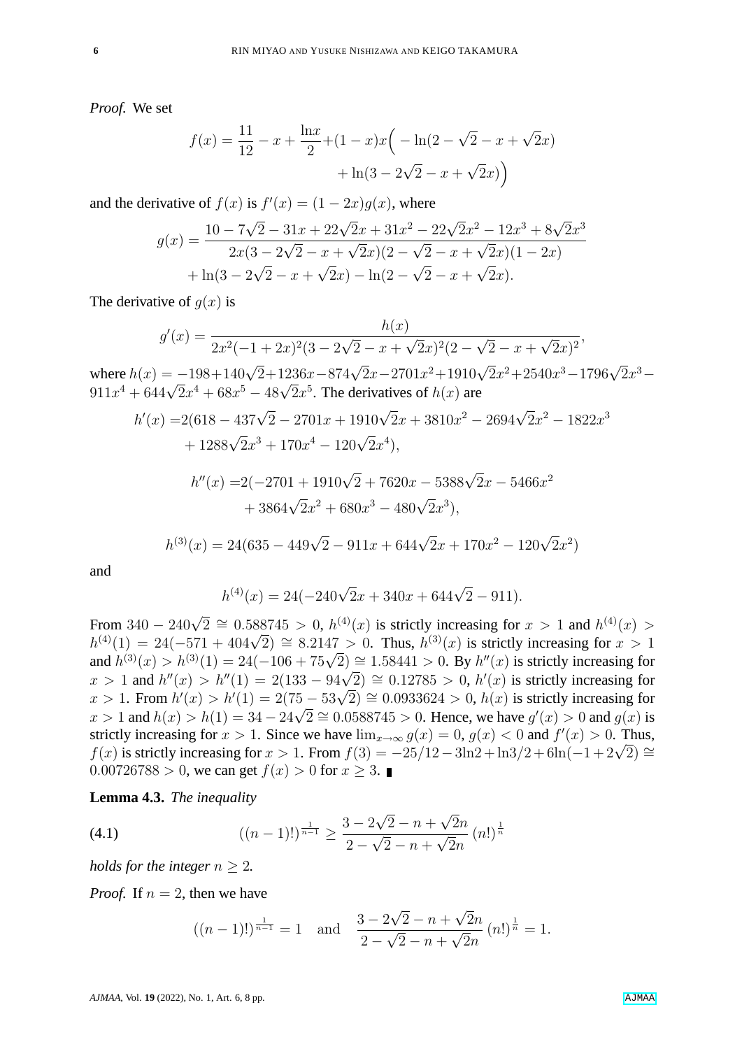*Proof.* We set

$$
f(x) = \frac{11}{12} - x + \frac{\ln x}{2} + (1 - x)x \left( -\ln(2 - \sqrt{2} - x + \sqrt{2}x) + \ln(3 - 2\sqrt{2} - x + \sqrt{2}x) \right)
$$

and the derivative of  $f(x)$  is  $f'(x) = (1 - 2x)g(x)$ , where √

$$
g(x) = \frac{10 - 7\sqrt{2} - 31x + 22\sqrt{2}x + 31x^2 - 22\sqrt{2}x^2 - 12x^3 + 8\sqrt{2}x^3}{2x(3 - 2\sqrt{2} - x + \sqrt{2}x)(2 - \sqrt{2} - x + \sqrt{2}x)(1 - 2x)} + \ln(3 - 2\sqrt{2} - x + \sqrt{2}x) - \ln(2 - \sqrt{2} - x + \sqrt{2}x).
$$

The derivative of  $q(x)$  is

$$
g'(x) = \frac{h(x)}{2x^2(-1+2x)^2(3-2\sqrt{2}-x+\sqrt{2}x)^2(2-\sqrt{2}-x+\sqrt{2}x)^2},
$$

where  $h(x) = -198+140\sqrt{2}+1236x-874\sqrt{2}x-2701x^2+1910\sqrt{2}x^2+2540x^3-1796\sqrt{2}x^3$ where  $h(x) = -198 + 140\sqrt{2}x^4 + 1250x - 874\sqrt{2}x^5$ .<br>
911 $x^4 + 644\sqrt{2}x^4 + 68x^5 - 48\sqrt{2}x^5$ . The derivatives of  $h(x)$  are

$$
h'(x) = 2(618 - 437\sqrt{2} - 2701x + 1910\sqrt{2}x + 3810x^2 - 2694\sqrt{2}x^2 - 1822x^3
$$
  
+ 1288\sqrt{2}x^3 + 170x^4 - 120\sqrt{2}x^4),  

$$
h''(x) = 2(-2701 + 1910\sqrt{2} + 7620x - 5388\sqrt{2}x - 5466x^2
$$
  
+ 3864\sqrt{2}x^2 + 680x^3 - 480\sqrt{2}x^3),

$$
h^{(3)}(x) = 24(635 - 449\sqrt{2} - 911x + 644\sqrt{2}x + 170x^2 - 120\sqrt{2}x^2)
$$

and

$$
h^{(4)}(x) = 24(-240\sqrt{2}x + 340x + 644\sqrt{2} - 911).
$$

From 340 – 240 $\sqrt{2} \cong 0.588745 > 0$ ,  $h^{(4)}(x)$  is strictly increasing for  $x > 1$  and  $h^{(4)}(x) > 0$ From  $340 - 240\sqrt{2} = 0.588745 > 0$ ,  $h^{(3)}(x)$  is strictly increasing for  $x > 1$  and  $h^{(3)}(x) > h^{(4)}(1) = 24(-571 + 404\sqrt{2}) \approx 8.2147 > 0$ . Thus,  $h^{(3)}(x)$  is strictly increasing for  $x > 1$  $h^{(3)}(x) = 24(-3i1 + 404\sqrt{2}) = 8.214i > 0.$  Thus,  $h^{(3)}(x)$  is strictly increasing for  $x > 1$ <br>and  $h^{(3)}(x) > h^{(3)}(1) = 24(-106 + 75\sqrt{2}) \approx 1.58441 > 0.$  By  $h''(x)$  is strictly increasing for and  $h^{(0)}(x) > h^{(0)}(1) = 24(-100 + 70\sqrt{2}) = 1.58441 > 0$ . By  $h'(x)$  is strictly increasing for  $x > 1$  and  $h''(x) > h''(1) = 2(133 - 94\sqrt{2}) \approx 0.12785 > 0$ ,  $h'(x)$  is strictly increasing for  $x > 1$  and  $h(x) > h(1) = 2(133 - 94\sqrt{2}) = 0.12783 > 0$ ,  $h(x)$  is strictly increasing for  $x > 1$ . From  $h'(x) > h'(1) = 2(75 - 53\sqrt{2}) \approx 0.0933624 > 0$ ,  $h(x)$  is strictly increasing for  $x > 1$ . From  $h(x) > h(1) = 2(75 - 33\sqrt{2}) = 0.0933024 > 0$ ,  $h(x)$  is strictly increasing for  $x > 1$  and  $h(x) > h(1) = 34 - 24\sqrt{2} \approx 0.0588745 > 0$ . Hence, we have  $g'(x) > 0$  and  $g(x)$  is strictly increasing for  $x > 1$ . Since we have  $\lim_{x \to \infty} g(x) = 0$ ,  $g(x) < 0$  and  $f'(x) > 0$ . Thus, strictly increasing for  $x > 1$ . Since we have  $\lim_{x\to\infty} g(x) = 0$ ,  $g(x) < 0$  and  $f(x) > 0$ . Thus,<br>  $f(x)$  is strictly increasing for  $x > 1$ . From  $f(3) = -25/12 - 3\ln 2 + \ln 3/2 + 6\ln(-1 + 2\sqrt{2}) \approx$ 0.00726788 > 0, we can get  $f(x) > 0$  for  $x > 3$ .

<span id="page-5-1"></span>**Lemma 4.3.** *The inequality*

<span id="page-5-0"></span>(4.1) 
$$
((n-1)!)^{\frac{1}{n-1}} \geq \frac{3 - 2\sqrt{2} - n + \sqrt{2}n}{2 - \sqrt{2} - n + \sqrt{2}n} (n!)^{\frac{1}{n}}
$$

*holds for the integer*  $n > 2$ *.* 

*Proof.* If  $n = 2$ , then we have

$$
((n-1)!)^{\frac{1}{n-1}} = 1
$$
 and  $\frac{3 - 2\sqrt{2} - n + \sqrt{2}n}{2 - \sqrt{2} - n + \sqrt{2}n} (n!)^{\frac{1}{n}} = 1.$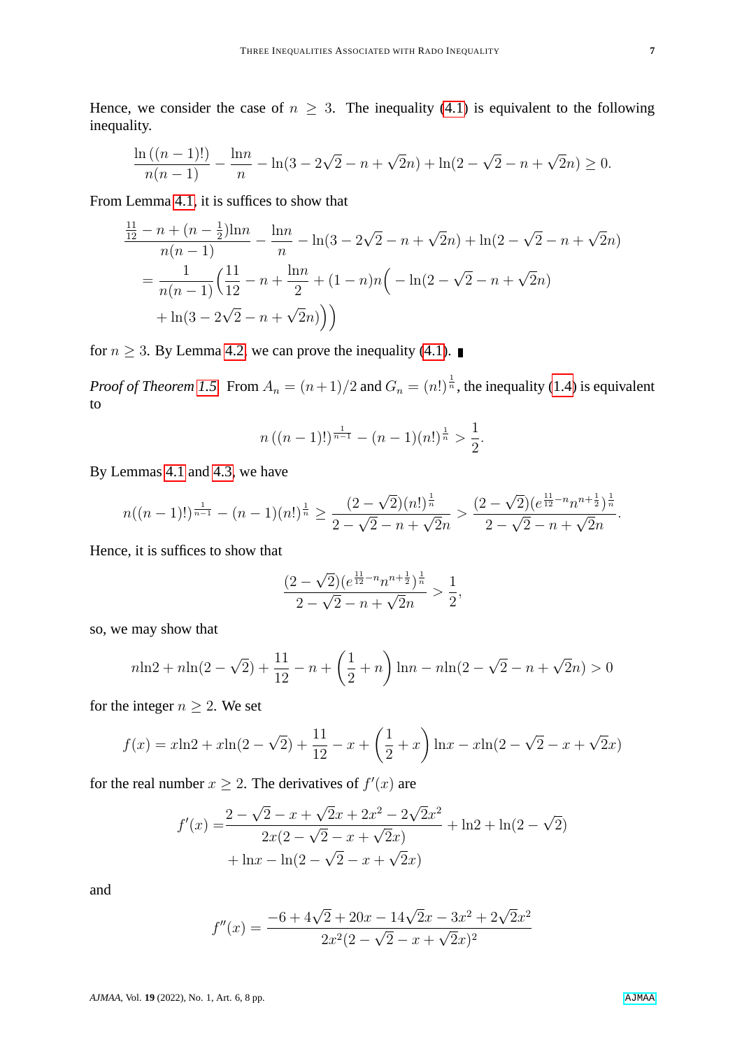Hence, we consider the case of  $n \geq 3$ . The inequality [\(4.1\)](#page-5-0) is equivalent to the following inequality.

$$
\frac{\ln((n-1)!)}{n(n-1)} - \frac{\ln n}{n} - \ln(3 - 2\sqrt{2} - n + \sqrt{2}n) + \ln(2 - \sqrt{2} - n + \sqrt{2}n) \ge 0.
$$

From Lemma [4.1,](#page-4-0) it is suffices to show that

$$
\frac{\frac{11}{12} - n + (n - \frac{1}{2})\ln n}{n(n-1)} - \frac{\ln n}{n} - \ln(3 - 2\sqrt{2} - n + \sqrt{2}n) + \ln(2 - \sqrt{2} - n + \sqrt{2}n)
$$

$$
= \frac{1}{n(n-1)} \left( \frac{11}{12} - n + \frac{\ln n}{2} + (1 - n)n \left( -\ln(2 - \sqrt{2} - n + \sqrt{2}n) + \ln(3 - 2\sqrt{2} - n + \sqrt{2}n) \right) \right)
$$

for  $n \geq 3$ . By Lemma [4.2,](#page-4-1) we can prove the inequality [\(4.1\)](#page-5-0).

*Proof of Theorem [1.5.](#page-1-7)* From  $A_n = (n+1)/2$  and  $G_n = (n!)^{\frac{1}{n}}$ , the inequality [\(1.4\)](#page-2-3) is equivalent to

$$
n((n-1)!)^{\frac{1}{n-1}}-(n-1)(n!)^{\frac{1}{n}}>\frac{1}{2}.
$$

By Lemmas [4.1](#page-4-0) and [4.3,](#page-5-1) we have

$$
n((n-1)!)^{\frac{1}{n-1}} - (n-1)(n!)^{\frac{1}{n}} \ge \frac{(2-\sqrt{2})(n!)^{\frac{1}{n}}}{2-\sqrt{2}-n+\sqrt{2}n} > \frac{(2-\sqrt{2})(e^{\frac{11}{12}-n}n^{n+\frac{1}{2}})^{\frac{1}{n}}}{2-\sqrt{2}-n+\sqrt{2}n}.
$$

Hence, it is suffices to show that

$$
\frac{(2-\sqrt{2})(e^{\frac{11}{12}-n}n^{n+\frac{1}{2}})^{\frac{1}{n}}}{2-\sqrt{2}-n+\sqrt{2}n} > \frac{1}{2},
$$

so, we may show that

$$
n\ln 2 + n\ln(2 - \sqrt{2}) + \frac{11}{12} - n + \left(\frac{1}{2} + n\right)\ln n - n\ln(2 - \sqrt{2} - n + \sqrt{2}n) > 0
$$

for the integer  $n \geq 2$ . We set

$$
f(x) = x\ln 2 + x\ln(2 - \sqrt{2}) + \frac{11}{12} - x + \left(\frac{1}{2} + x\right)\ln x - x\ln(2 - \sqrt{2} - x + \sqrt{2}x)
$$

for the real number  $x \geq 2$ . The derivatives of  $f'(x)$  are

$$
f'(x) = \frac{2 - \sqrt{2} - x + \sqrt{2}x + 2x^2 - 2\sqrt{2}x^2}{2x(2 - \sqrt{2} - x + \sqrt{2}x)} + \ln 2 + \ln(2 - \sqrt{2}) + \ln x - \ln(2 - \sqrt{2} - x + \sqrt{2}x)
$$

and

$$
f''(x) = \frac{-6 + 4\sqrt{2} + 20x - 14\sqrt{2}x - 3x^2 + 2\sqrt{2}x^2}{2x^2(2 - \sqrt{2} - x + \sqrt{2}x)^2}
$$